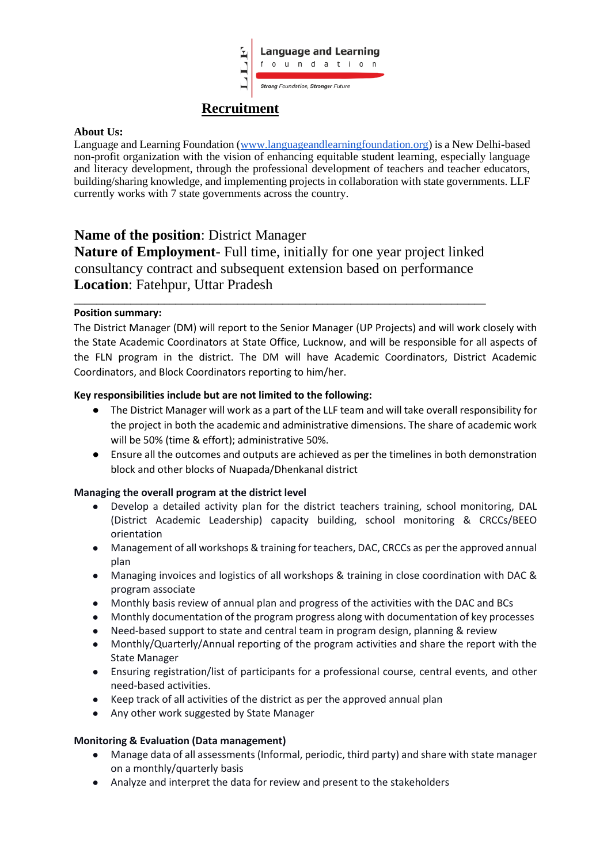

# **Recruitment**

#### **About Us:**

Language and Learning Foundation (www.languageandlearningfoundation.org) is a New Delhi-based non-profit organization with the vision of enhancing equitable student learning, especially language and literacy development, through the professional development of teachers and teacher educators, building/sharing knowledge, and implementing projects in collaboration with state governments. LLF currently works with 7 state governments across the country.

## **Name of the position**: District Manager

**Nature of Employment**- Full time, initially for one year project linked consultancy contract and subsequent extension based on performance **Location**: Fatehpur, Uttar Pradesh

\_\_\_\_\_\_\_\_\_\_\_\_\_\_\_\_\_\_\_\_\_\_\_\_\_\_\_\_\_\_\_\_\_\_\_\_\_\_\_\_\_\_\_\_\_\_\_\_\_\_\_\_\_\_\_\_\_\_\_\_\_\_\_\_\_\_\_\_\_\_\_\_\_

#### **Position summary:**

The District Manager (DM) will report to the Senior Manager (UP Projects) and will work closely with the State Academic Coordinators at State Office, Lucknow, and will be responsible for all aspects of the FLN program in the district. The DM will have Academic Coordinators, District Academic Coordinators, and Block Coordinators reporting to him/her.

#### **Key responsibilities include but are not limited to the following:**

- The District Manager will work as a part of the LLF team and will take overall responsibility for the project in both the academic and administrative dimensions. The share of academic work will be 50% (time & effort); administrative 50%.
- Ensure all the outcomes and outputs are achieved as per the timelines in both demonstration block and other blocks of Nuapada/Dhenkanal district

## **Managing the overall program at the district level**

- Develop a detailed activity plan for the district teachers training, school monitoring, DAL (District Academic Leadership) capacity building, school monitoring & CRCCs/BEEO orientation
- Management of all workshops & training for teachers, DAC, CRCCs as per the approved annual plan
- Managing invoices and logistics of all workshops & training in close coordination with DAC & program associate
- Monthly basis review of annual plan and progress of the activities with the DAC and BCs
- Monthly documentation of the program progress along with documentation of key processes
- Need-based support to state and central team in program design, planning & review
- Monthly/Quarterly/Annual reporting of the program activities and share the report with the State Manager
- Ensuring registration/list of participants for a professional course, central events, and other need-based activities.
- Keep track of all activities of the district as per the approved annual plan
- Any other work suggested by State Manager

#### **Monitoring & Evaluation (Data management)**

- Manage data of all assessments (Informal, periodic, third party) and share with state manager on a monthly/quarterly basis
- Analyze and interpret the data for review and present to the stakeholders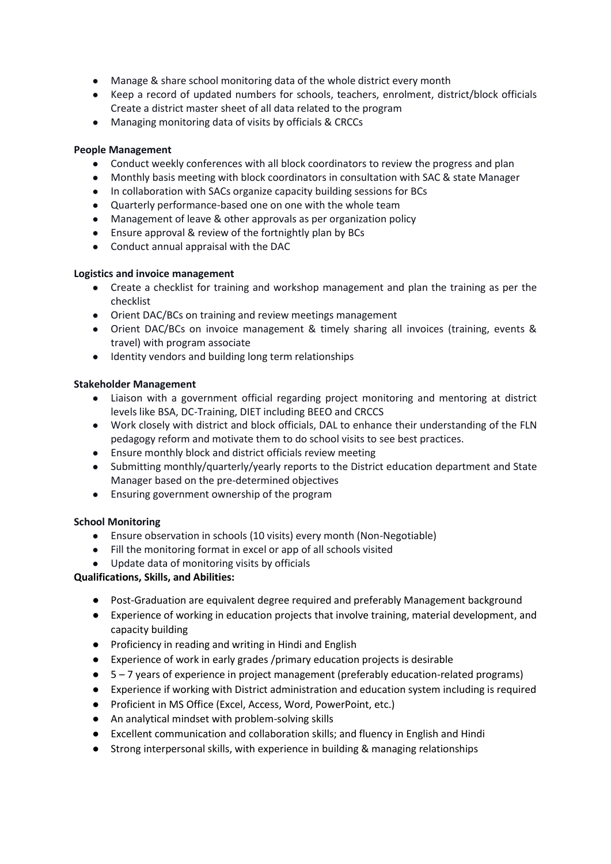- Manage & share school monitoring data of the whole district every month
- Keep a record of updated numbers for schools, teachers, enrolment, district/block officials Create a district master sheet of all data related to the program
- Managing monitoring data of visits by officials & CRCCs

## **People Management**

- Conduct weekly conferences with all block coordinators to review the progress and plan
- Monthly basis meeting with block coordinators in consultation with SAC & state Manager
- In collaboration with SACs organize capacity building sessions for BCs
- Quarterly performance-based one on one with the whole team
- Management of leave & other approvals as per organization policy
- Ensure approval & review of the fortnightly plan by BCs
- Conduct annual appraisal with the DAC

#### **Logistics and invoice management**

- Create a checklist for training and workshop management and plan the training as per the checklist
- Orient DAC/BCs on training and review meetings management
- Orient DAC/BCs on invoice management & timely sharing all invoices (training, events & travel) with program associate
- Identity vendors and building long term relationships

#### **Stakeholder Management**

- Liaison with a government official regarding project monitoring and mentoring at district levels like BSA, DC-Training, DIET including BEEO and CRCCS
- Work closely with district and block officials, DAL to enhance their understanding of the FLN pedagogy reform and motivate them to do school visits to see best practices.
- Ensure monthly block and district officials review meeting
- Submitting monthly/quarterly/yearly reports to the District education department and State Manager based on the pre-determined objectives
- Ensuring government ownership of the program

#### **School Monitoring**

- Ensure observation in schools (10 visits) every month (Non-Negotiable)
- Fill the monitoring format in excel or app of all schools visited
- Update data of monitoring visits by officials

## **Qualifications, Skills, and Abilities:**

- Post-Graduation are equivalent degree required and preferably Management background
- Experience of working in education projects that involve training, material development, and capacity building
- Proficiency in reading and writing in Hindi and English
- Experience of work in early grades /primary education projects is desirable
- 5 7 years of experience in project management (preferably education-related programs)
- Experience if working with District administration and education system including is required
- Proficient in MS Office (Excel, Access, Word, PowerPoint, etc.)
- An analytical mindset with problem-solving skills
- Excellent communication and collaboration skills; and fluency in English and Hindi
- Strong interpersonal skills, with experience in building & managing relationships